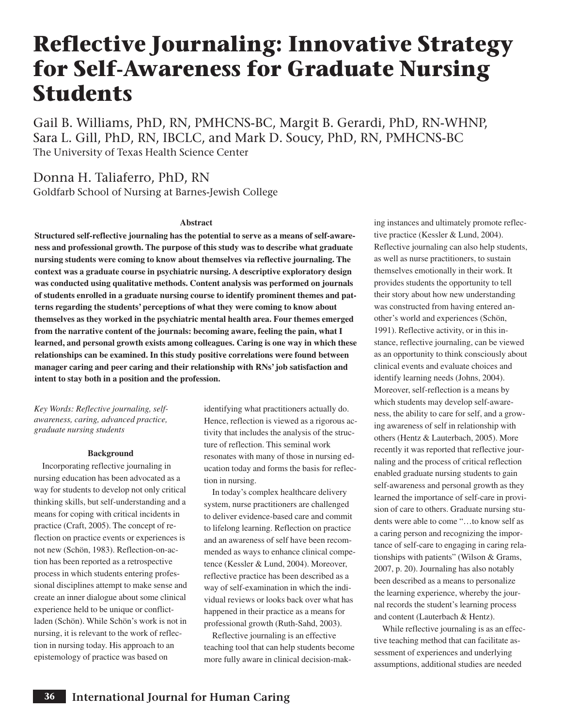# **Reflective Journaling: Innovative Strategy for Self-Awareness for Graduate Nursing Students**

Gail B. Williams, PhD, RN, PMHCNS-BC, Margit B. Gerardi, PhD, RN-WHNP, Sara L. Gill, PhD, RN, IBCLC, and Mark D. Soucy, PhD, RN, PMHCNS-BC The University of Texas Health Science Center

Donna H. Taliaferro, PhD, RN Goldfarb School of Nursing at Barnes-Jewish College

#### **Abstract**

**Structured self-reflective journaling has the potential to serve as a means of self-awareness and professional growth. The purpose of this study was to describe what graduate nursing students were coming to know about themselves via reflective journaling. The context was a graduate course in psychiatric nursing. A descriptive exploratory design was conducted using qualitative methods. Content analysis was performed on journals of students enrolled in a graduate nursing course to identify prominent themes and patterns regarding the students' perceptions of what they were coming to know about themselves as they worked in the psychiatric mental health area. Four themes emerged from the narrative content of the journals: becoming aware, feeling the pain, what I learned, and personal growth exists among colleagues. Caring is one way in which these relationships can be examined. In this study positive correlations were found between manager caring and peer caring and their relationship with RNs' job satisfaction and intent to stay both in a position and the profession.** 

*Key Words: Reflective journaling, selfawareness, caring, advanced practice, graduate nursing students*

#### **Background**

Incorporating reflective journaling in nursing education has been advocated as a way for students to develop not only critical thinking skills, but self-understanding and a means for coping with critical incidents in practice (Craft, 2005). The concept of reflection on practice events or experiences is not new (Schön, 1983). Reflection-on-action has been reported as a retrospective process in which students entering professional disciplines attempt to make sense and create an inner dialogue about some clinical experience held to be unique or conflictladen (Schön). While Schön's work is not in nursing, it is relevant to the work of reflection in nursing today. His approach to an epistemology of practice was based on

identifying what practitioners actually do. Hence, reflection is viewed as a rigorous activity that includes the analysis of the structure of reflection. This seminal work resonates with many of those in nursing education today and forms the basis for reflection in nursing.

In today's complex healthcare delivery system, nurse practitioners are challenged to deliver evidence-based care and commit to lifelong learning. Reflection on practice and an awareness of self have been recommended as ways to enhance clinical competence (Kessler & Lund, 2004). Moreover, reflective practice has been described as a way of self-examination in which the individual reviews or looks back over what has happened in their practice as a means for professional growth (Ruth-Sahd, 2003).

Reflective journaling is an effective teaching tool that can help students become more fully aware in clinical decision-mak-

ing instances and ultimately promote reflective practice (Kessler & Lund, 2004). Reflective journaling can also help students, as well as nurse practitioners, to sustain themselves emotionally in their work. It provides students the opportunity to tell their story about how new understanding was constructed from having entered another's world and experiences (Schön, 1991). Reflective activity, or in this instance, reflective journaling, can be viewed as an opportunity to think consciously about clinical events and evaluate choices and identify learning needs (Johns, 2004). Moreover, self-reflection is a means by which students may develop self-awareness, the ability to care for self, and a growing awareness of self in relationship with others (Hentz & Lauterbach, 2005). More recently it was reported that reflective journaling and the process of critical reflection enabled graduate nursing students to gain self-awareness and personal growth as they learned the importance of self-care in provision of care to others. Graduate nursing students were able to come "…to know self as a caring person and recognizing the importance of self-care to engaging in caring relationships with patients" (Wilson & Grams, 2007, p. 20). Journaling has also notably been described as a means to personalize the learning experience, whereby the journal records the student's learning process and content (Lauterbach & Hentz).

While reflective journaling is as an effective teaching method that can facilitate assessment of experiences and underlying assumptions, additional studies are needed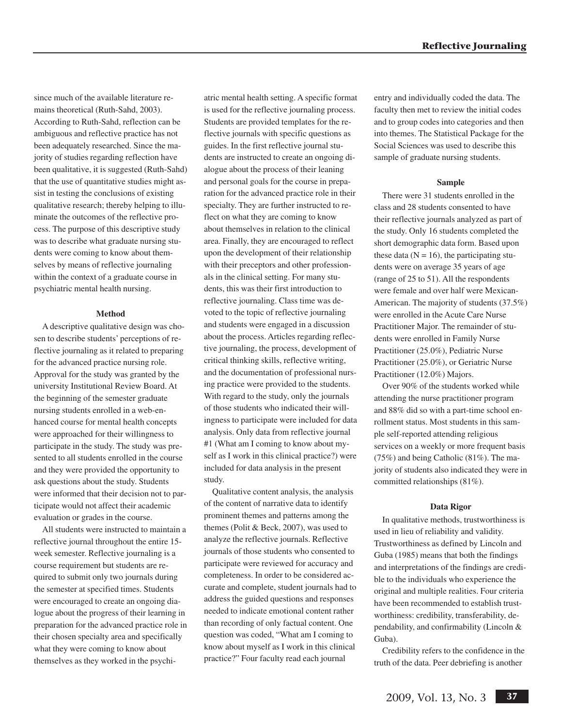since much of the available literature remains theoretical (Ruth-Sahd, 2003). According to Ruth-Sahd, reflection can be ambiguous and reflective practice has not been adequately researched. Since the majority of studies regarding reflection have been qualitative, it is suggested (Ruth-Sahd) that the use of quantitative studies might assist in testing the conclusions of existing qualitative research; thereby helping to illuminate the outcomes of the reflective process. The purpose of this descriptive study was to describe what graduate nursing students were coming to know about themselves by means of reflective journaling within the context of a graduate course in psychiatric mental health nursing.

# **Method**

A descriptive qualitative design was chosen to describe students' perceptions of reflective journaling as it related to preparing for the advanced practice nursing role. Approval for the study was granted by the university Institutional Review Board. At the beginning of the semester graduate nursing students enrolled in a web-enhanced course for mental health concepts were approached for their willingness to participate in the study. The study was presented to all students enrolled in the course and they were provided the opportunity to ask questions about the study. Students were informed that their decision not to participate would not affect their academic evaluation or grades in the course.

All students were instructed to maintain a reflective journal throughout the entire 15 week semester. Reflective journaling is a course requirement but students are required to submit only two journals during the semester at specified times. Students were encouraged to create an ongoing dialogue about the progress of their learning in preparation for the advanced practice role in their chosen specialty area and specifically what they were coming to know about themselves as they worked in the psychiatric mental health setting. A specific format is used for the reflective journaling process. Students are provided templates for the reflective journals with specific questions as guides. In the first reflective journal students are instructed to create an ongoing dialogue about the process of their leaning and personal goals for the course in preparation for the advanced practice role in their specialty. They are further instructed to reflect on what they are coming to know about themselves in relation to the clinical area. Finally, they are encouraged to reflect upon the development of their relationship with their preceptors and other professionals in the clinical setting. For many students, this was their first introduction to reflective journaling. Class time was devoted to the topic of reflective journaling and students were engaged in a discussion about the process. Articles regarding reflective journaling, the process, development of critical thinking skills, reflective writing, and the documentation of professional nursing practice were provided to the students. With regard to the study, only the journals of those students who indicated their willingness to participate were included for data analysis. Only data from reflective journal #1 (What am I coming to know about myself as I work in this clinical practice?) were included for data analysis in the present study.

Qualitative content analysis, the analysis of the content of narrative data to identify prominent themes and patterns among the themes (Polit & Beck, 2007), was used to analyze the reflective journals. Reflective journals of those students who consented to participate were reviewed for accuracy and completeness. In order to be considered accurate and complete, student journals had to address the guided questions and responses needed to indicate emotional content rather than recording of only factual content. One question was coded, "What am I coming to know about myself as I work in this clinical practice?" Four faculty read each journal

entry and individually coded the data. The faculty then met to review the initial codes and to group codes into categories and then into themes. The Statistical Package for the Social Sciences was used to describe this sample of graduate nursing students.

#### **Sample**

There were 31 students enrolled in the class and 28 students consented to have their reflective journals analyzed as part of the study. Only 16 students completed the short demographic data form. Based upon these data ( $N = 16$ ), the participating students were on average 35 years of age (range of 25 to 51). All the respondents were female and over half were Mexican-American. The majority of students (37.5%) were enrolled in the Acute Care Nurse Practitioner Major. The remainder of students were enrolled in Family Nurse Practitioner (25.0%), Pediatric Nurse Practitioner (25.0%), or Geriatric Nurse Practitioner (12.0%) Majors.

Over 90% of the students worked while attending the nurse practitioner program and 88% did so with a part-time school enrollment status. Most students in this sample self-reported attending religious services on a weekly or more frequent basis (75%) and being Catholic (81%). The majority of students also indicated they were in committed relationships (81%).

#### **Data Rigor**

In qualitative methods, trustworthiness is used in lieu of reliability and validity. Trustworthiness as defined by Lincoln and Guba (1985) means that both the findings and interpretations of the findings are credible to the individuals who experience the original and multiple realities. Four criteria have been recommended to establish trustworthiness: credibility, transferability, dependability, and confirmability (Lincoln & Guba).

Credibility refers to the confidence in the truth of the data. Peer debriefing is another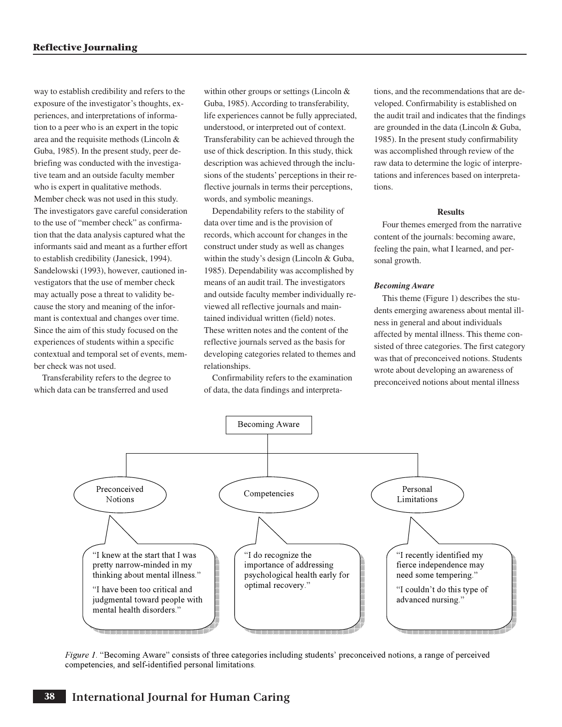way to establish credibility and refers to the exposure of the investigator's thoughts, experiences, and interpretations of information to a peer who is an expert in the topic area and the requisite methods (Lincoln & Guba, 1985). In the present study, peer debriefing was conducted with the investigative team and an outside faculty member who is expert in qualitative methods. Member check was not used in this study. The investigators gave careful consideration to the use of "member check" as confirmation that the data analysis captured what the informants said and meant as a further effort to establish credibility (Janesick, 1994). Sandelowski (1993), however, cautioned investigators that the use of member check may actually pose a threat to validity because the story and meaning of the informant is contextual and changes over time. Since the aim of this study focused on the experiences of students within a specific contextual and temporal set of events, member check was not used.

Transferability refers to the degree to which data can be transferred and used

within other groups or settings (Lincoln & Guba, 1985). According to transferability, life experiences cannot be fully appreciated, understood, or interpreted out of context. Transferability can be achieved through the use of thick description. In this study, thick description was achieved through the inclusions of the students' perceptions in their reflective journals in terms their perceptions, words, and symbolic meanings.

Dependability refers to the stability of data over time and is the provision of records, which account for changes in the construct under study as well as changes within the study's design (Lincoln & Guba, 1985). Dependability was accomplished by means of an audit trail. The investigators and outside faculty member individually reviewed all reflective journals and maintained individual written (field) notes. These written notes and the content of the reflective journals served as the basis for developing categories related to themes and relationships.

Confirmability refers to the examination of data, the data findings and interpreta-

tions, and the recommendations that are developed. Confirmability is established on the audit trail and indicates that the findings are grounded in the data (Lincoln & Guba, 1985). In the present study confirmability was accomplished through review of the raw data to determine the logic of interpretations and inferences based on interpretations.

#### **Results**

Four themes emerged from the narrative content of the journals: becoming aware, feeling the pain, what I learned, and personal growth.

#### *Becoming Aware*

This theme (Figure 1) describes the students emerging awareness about mental illness in general and about individuals affected by mental illness. This theme consisted of three categories. The first category was that of preconceived notions. Students wrote about developing an awareness of preconceived notions about mental illness



*Figure 1*. "Becoming Aware" consists of three categories including students' preconceived notions, a range of perceived competencies, and self-identified personal limitations.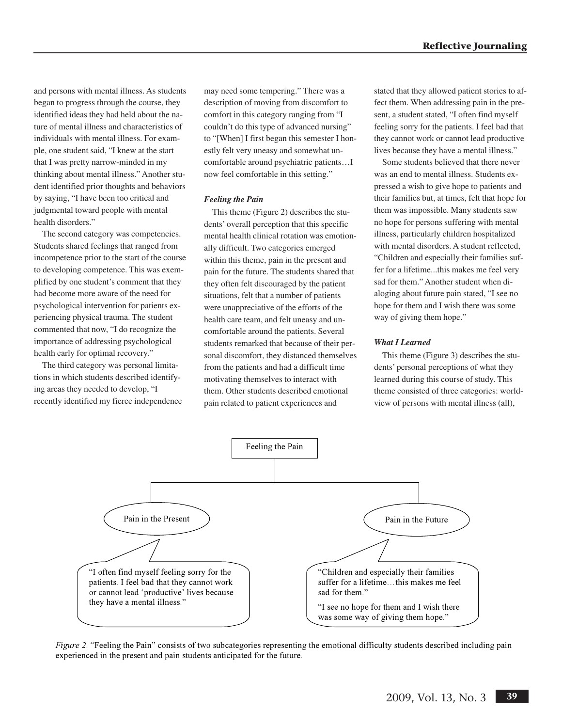and persons with mental illness. As students began to progress through the course, they identified ideas they had held about the nature of mental illness and characteristics of individuals with mental illness. For example, one student said, "I knew at the start that I was pretty narrow-minded in my thinking about mental illness." Another student identified prior thoughts and behaviors by saying, "I have been too critical and judgmental toward people with mental health disorders."

The second category was competencies. Students shared feelings that ranged from incompetence prior to the start of the course to developing competence. This was exemplified by one student's comment that they had become more aware of the need for psychological intervention for patients experiencing physical trauma. The student commented that now, "I do recognize the importance of addressing psychological health early for optimal recovery."

The third category was personal limitations in which students described identifying areas they needed to develop, "I recently identified my fierce independence may need some tempering." There was a description of moving from discomfort to comfort in this category ranging from "I couldn't do this type of advanced nursing" to "[When] I first began this semester I honestly felt very uneasy and somewhat uncomfortable around psychiatric patients…I now feel comfortable in this setting."

### *Feeling the Pain*

This theme (Figure 2) describes the students' overall perception that this specific mental health clinical rotation was emotionally difficult. Two categories emerged within this theme, pain in the present and pain for the future. The students shared that they often felt discouraged by the patient situations, felt that a number of patients were unappreciative of the efforts of the health care team, and felt uneasy and uncomfortable around the patients. Several students remarked that because of their personal discomfort, they distanced themselves from the patients and had a difficult time motivating themselves to interact with them. Other students described emotional pain related to patient experiences and

stated that they allowed patient stories to affect them. When addressing pain in the present, a student stated, "I often find myself feeling sorry for the patients. I feel bad that they cannot work or cannot lead productive lives because they have a mental illness."

Some students believed that there never was an end to mental illness. Students expressed a wish to give hope to patients and their families but, at times, felt that hope for them was impossible. Many students saw no hope for persons suffering with mental illness, particularly children hospitalized with mental disorders. A student reflected, "Children and especially their families suffer for a lifetime...this makes me feel very sad for them." Another student when dialoging about future pain stated, "I see no hope for them and I wish there was some way of giving them hope."

## *What I Learned*

This theme (Figure 3) describes the students' personal perceptions of what they learned during this course of study. This theme consisted of three categories: worldview of persons with mental illness (all),



*Figure 2*. "Feeling the Pain" consists of two subcategories representing the emotional difficulty students described including pain experienced in the present and pain students anticipated for the future.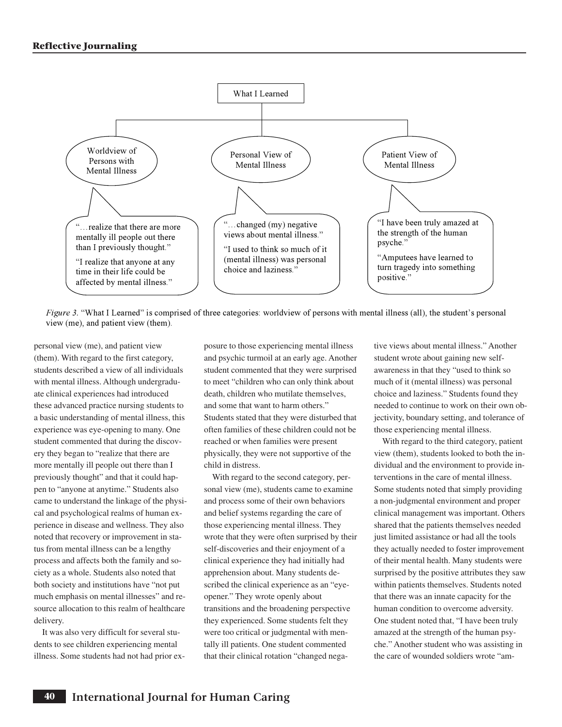

*Figure 3.* "What I Learned" is comprised of three categories: worldview of persons with mental illness (all), the student's personal view (me), and patient view (them).

personal view (me), and patient view (them). With regard to the first category, students described a view of all individuals with mental illness. Although undergraduate clinical experiences had introduced these advanced practice nursing students to a basic understanding of mental illness, this experience was eye-opening to many. One student commented that during the discovery they began to "realize that there are more mentally ill people out there than I previously thought" and that it could happen to "anyone at anytime." Students also came to understand the linkage of the physical and psychological realms of human experience in disease and wellness. They also noted that recovery or improvement in status from mental illness can be a lengthy process and affects both the family and society as a whole. Students also noted that both society and institutions have "not put much emphasis on mental illnesses" and resource allocation to this realm of healthcare delivery.

It was also very difficult for several students to see children experiencing mental illness. Some students had not had prior exposure to those experiencing mental illness and psychic turmoil at an early age. Another student commented that they were surprised to meet "children who can only think about death, children who mutilate themselves, and some that want to harm others." Students stated that they were disturbed that often families of these children could not be reached or when families were present physically, they were not supportive of the child in distress.

With regard to the second category, personal view (me), students came to examine and process some of their own behaviors and belief systems regarding the care of those experiencing mental illness. They wrote that they were often surprised by their self-discoveries and their enjoyment of a clinical experience they had initially had apprehension about. Many students described the clinical experience as an "eyeopener." They wrote openly about transitions and the broadening perspective they experienced. Some students felt they were too critical or judgmental with mentally ill patients. One student commented that their clinical rotation "changed nega-

tive views about mental illness." Another student wrote about gaining new selfawareness in that they "used to think so much of it (mental illness) was personal choice and laziness." Students found they needed to continue to work on their own objectivity, boundary setting, and tolerance of those experiencing mental illness.

With regard to the third category, patient view (them), students looked to both the individual and the environment to provide interventions in the care of mental illness. Some students noted that simply providing a non-judgmental environment and proper clinical management was important. Others shared that the patients themselves needed just limited assistance or had all the tools they actually needed to foster improvement of their mental health. Many students were surprised by the positive attributes they saw within patients themselves. Students noted that there was an innate capacity for the human condition to overcome adversity. One student noted that, "I have been truly amazed at the strength of the human psyche." Another student who was assisting in the care of wounded soldiers wrote "am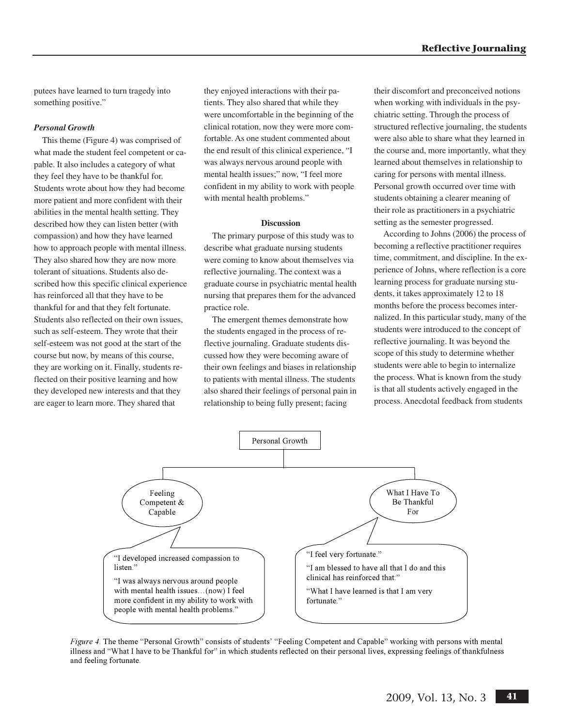putees have learned to turn tragedy into something positive."

## *Personal Growth*

This theme (Figure 4) was comprised of what made the student feel competent or capable. It also includes a category of what they feel they have to be thankful for. Students wrote about how they had become more patient and more confident with their abilities in the mental health setting. They described how they can listen better (with compassion) and how they have learned how to approach people with mental illness. They also shared how they are now more tolerant of situations. Students also described how this specific clinical experience has reinforced all that they have to be thankful for and that they felt fortunate. Students also reflected on their own issues, such as self-esteem. They wrote that their self-esteem was not good at the start of the course but now, by means of this course, they are working on it. Finally, students reflected on their positive learning and how they developed new interests and that they are eager to learn more. They shared that

they enjoyed interactions with their patients. They also shared that while they were uncomfortable in the beginning of the clinical rotation, now they were more comfortable. As one student commented about the end result of this clinical experience, "I was always nervous around people with mental health issues;" now, "I feel more confident in my ability to work with people with mental health problems."

#### **Discussion**

The primary purpose of this study was to describe what graduate nursing students were coming to know about themselves via reflective journaling. The context was a graduate course in psychiatric mental health nursing that prepares them for the advanced practice role.

The emergent themes demonstrate how the students engaged in the process of reflective journaling. Graduate students discussed how they were becoming aware of their own feelings and biases in relationship to patients with mental illness. The students also shared their feelings of personal pain in relationship to being fully present; facing

their discomfort and preconceived notions when working with individuals in the psychiatric setting. Through the process of structured reflective journaling, the students were also able to share what they learned in the course and, more importantly, what they learned about themselves in relationship to caring for persons with mental illness. Personal growth occurred over time with students obtaining a clearer meaning of their role as practitioners in a psychiatric setting as the semester progressed.

According to Johns (2006) the process of becoming a reflective practitioner requires time, commitment, and discipline. In the experience of Johns, where reflection is a core learning process for graduate nursing students, it takes approximately 12 to 18 months before the process becomes internalized. In this particular study, many of the students were introduced to the concept of reflective journaling. It was beyond the scope of this study to determine whether students were able to begin to internalize the process. What is known from the study is that all students actively engaged in the process. Anecdotal feedback from students



*Figure 4*. The theme "Personal Growth" consists of students' "Feeling Competent and Capable" working with persons with mental illness and "What I have to be Thankful for" in which students reflected on their personal lives, expressing feelings of thankfulness and feeling fortunate.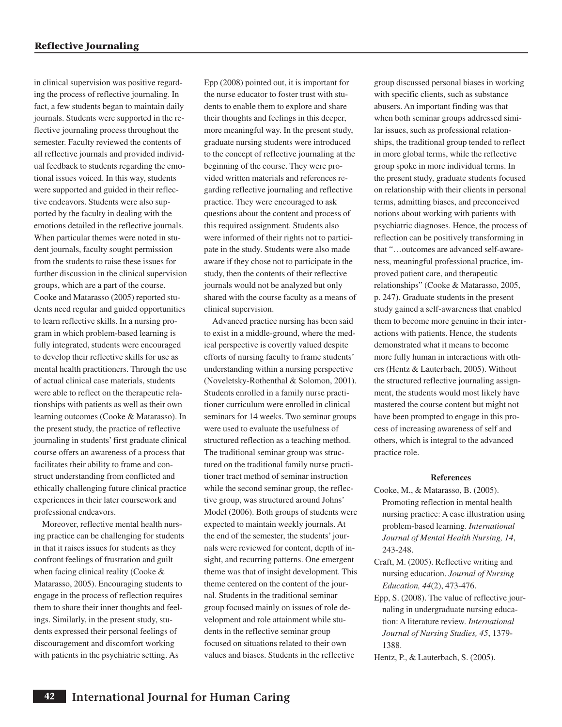in clinical supervision was positive regarding the process of reflective journaling. In fact, a few students began to maintain daily journals. Students were supported in the reflective journaling process throughout the semester. Faculty reviewed the contents of all reflective journals and provided individual feedback to students regarding the emotional issues voiced. In this way, students were supported and guided in their reflective endeavors. Students were also supported by the faculty in dealing with the emotions detailed in the reflective journals. When particular themes were noted in student journals, faculty sought permission from the students to raise these issues for further discussion in the clinical supervision groups, which are a part of the course. Cooke and Matarasso (2005) reported students need regular and guided opportunities to learn reflective skills. In a nursing program in which problem-based learning is fully integrated, students were encouraged to develop their reflective skills for use as mental health practitioners. Through the use of actual clinical case materials, students were able to reflect on the therapeutic relationships with patients as well as their own learning outcomes (Cooke & Matarasso). In the present study, the practice of reflective journaling in students' first graduate clinical course offers an awareness of a process that facilitates their ability to frame and construct understanding from conflicted and ethically challenging future clinical practice experiences in their later coursework and professional endeavors.

Moreover, reflective mental health nursing practice can be challenging for students in that it raises issues for students as they confront feelings of frustration and guilt when facing clinical reality (Cooke & Matarasso, 2005). Encouraging students to engage in the process of reflection requires them to share their inner thoughts and feelings. Similarly, in the present study, students expressed their personal feelings of discouragement and discomfort working with patients in the psychiatric setting. As

Epp (2008) pointed out, it is important for the nurse educator to foster trust with students to enable them to explore and share their thoughts and feelings in this deeper, more meaningful way. In the present study, graduate nursing students were introduced to the concept of reflective journaling at the beginning of the course. They were provided written materials and references regarding reflective journaling and reflective practice. They were encouraged to ask questions about the content and process of this required assignment. Students also were informed of their rights not to participate in the study. Students were also made aware if they chose not to participate in the study, then the contents of their reflective journals would not be analyzed but only shared with the course faculty as a means of clinical supervision.

Advanced practice nursing has been said to exist in a middle-ground, where the medical perspective is covertly valued despite efforts of nursing faculty to frame students' understanding within a nursing perspective (Noveletsky-Rothenthal & Solomon, 2001). Students enrolled in a family nurse practitioner curriculum were enrolled in clinical seminars for 14 weeks. Two seminar groups were used to evaluate the usefulness of structured reflection as a teaching method. The traditional seminar group was structured on the traditional family nurse practitioner tract method of seminar instruction while the second seminar group, the reflective group, was structured around Johns' Model (2006). Both groups of students were expected to maintain weekly journals. At the end of the semester, the students'journals were reviewed for content, depth of insight, and recurring patterns. One emergent theme was that of insight development. This theme centered on the content of the journal. Students in the traditional seminar group focused mainly on issues of role development and role attainment while students in the reflective seminar group focused on situations related to their own values and biases. Students in the reflective

group discussed personal biases in working with specific clients, such as substance abusers. An important finding was that when both seminar groups addressed similar issues, such as professional relationships, the traditional group tended to reflect in more global terms, while the reflective group spoke in more individual terms. In the present study, graduate students focused on relationship with their clients in personal terms, admitting biases, and preconceived notions about working with patients with psychiatric diagnoses. Hence, the process of reflection can be positively transforming in that "…outcomes are advanced self-awareness, meaningful professional practice, improved patient care, and therapeutic relationships" (Cooke & Matarasso, 2005, p. 247). Graduate students in the present study gained a self-awareness that enabled them to become more genuine in their interactions with patients. Hence, the students demonstrated what it means to become more fully human in interactions with others (Hentz & Lauterbach, 2005). Without the structured reflective journaling assignment, the students would most likely have mastered the course content but might not have been prompted to engage in this process of increasing awareness of self and others, which is integral to the advanced practice role.

#### **References**

- Cooke, M., & Matarasso, B. (2005). Promoting reflection in mental health nursing practice: A case illustration using problem-based learning. *International Journal of Mental Health Nursing, 14*, 243-248.
- Craft, M. (2005). Reflective writing and nursing education. *Journal of Nursing Education, 44*(2), 473-476.
- Epp, S. (2008). The value of reflective journaling in undergraduate nursing education: A literature review. *International Journal of Nursing Studies, 45*, 1379- 1388.
- Hentz, P., & Lauterbach, S. (2005).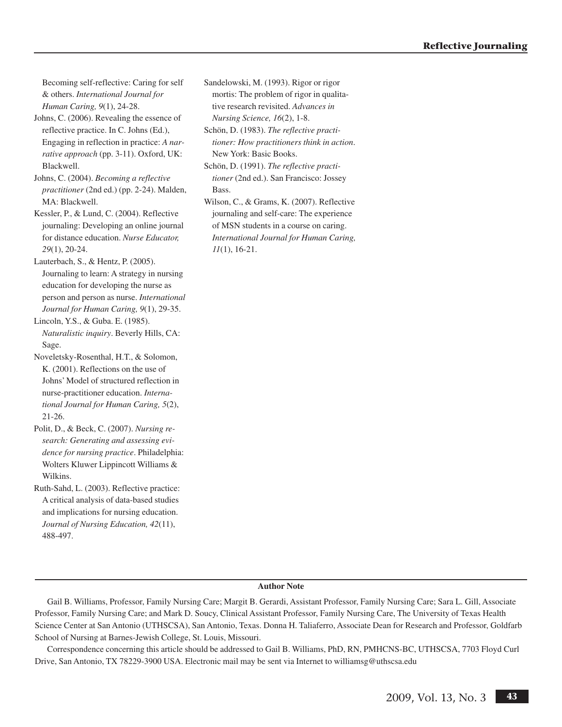Becoming self-reflective: Caring for self & others. *International Journal for Human Caring, 9*(1), 24-28.

- Johns, C. (2006). Revealing the essence of reflective practice. In C. Johns (Ed.), Engaging in reflection in practice: *A narrative approach* (pp. 3-11). Oxford, UK: Blackwell.
- Johns, C. (2004). *Becoming a reflective practitioner* (2nd ed.) (pp. 2-24). Malden, MA: Blackwell.
- Kessler, P., & Lund, C. (2004). Reflective journaling: Developing an online journal for distance education. *Nurse Educator, 29*(1), 20-24.

Lauterbach, S., & Hentz, P. (2005). Journaling to learn: A strategy in nursing education for developing the nurse as person and person as nurse. *International Journal for Human Caring, 9*(1), 29-35.

Lincoln, Y.S., & Guba. E. (1985). *Naturalistic inquiry*. Beverly Hills, CA: Sage.

Noveletsky-Rosenthal, H.T., & Solomon, K. (2001). Reflections on the use of Johns' Model of structured reflection in nurse-practitioner education. *International Journal for Human Caring, 5*(2), 21-26.

Polit, D., & Beck, C. (2007). *Nursing research: Generating and assessing evidence for nursing practice*. Philadelphia: Wolters Kluwer Lippincott Williams & Wilkins.

Ruth-Sahd, L. (2003). Reflective practice: A critical analysis of data-based studies and implications for nursing education. *Journal of Nursing Education, 42*(11), 488-497.

Sandelowski, M. (1993). Rigor or rigor mortis: The problem of rigor in qualitative research revisited. *Advances in Nursing Science, 16*(2), 1-8.

Schön, D. (1983). *The reflective practitioner: How practitioners think in action*. New York: Basic Books.

Schön, D. (1991). *The reflective practitioner* (2nd ed.). San Francisco: Jossey Bass.

Wilson, C., & Grams, K. (2007). Reflective journaling and self-care: The experience of MSN students in a course on caring. *International Journal for Human Caring, 11*(1), 16-21.

## **Author Note**

Gail B. Williams, Professor, Family Nursing Care; Margit B. Gerardi, Assistant Professor, Family Nursing Care; Sara L. Gill, Associate Professor, Family Nursing Care; and Mark D. Soucy, Clinical Assistant Professor, Family Nursing Care, The University of Texas Health Science Center at San Antonio (UTHSCSA), San Antonio, Texas. Donna H. Taliaferro, Associate Dean for Research and Professor, Goldfarb School of Nursing at Barnes-Jewish College, St. Louis, Missouri.

Correspondence concerning this article should be addressed to Gail B. Williams, PhD, RN, PMHCNS-BC, UTHSCSA, 7703 Floyd Curl Drive, San Antonio, TX 78229-3900 USA. Electronic mail may be sent via Internet to williamsg@uthscsa.edu